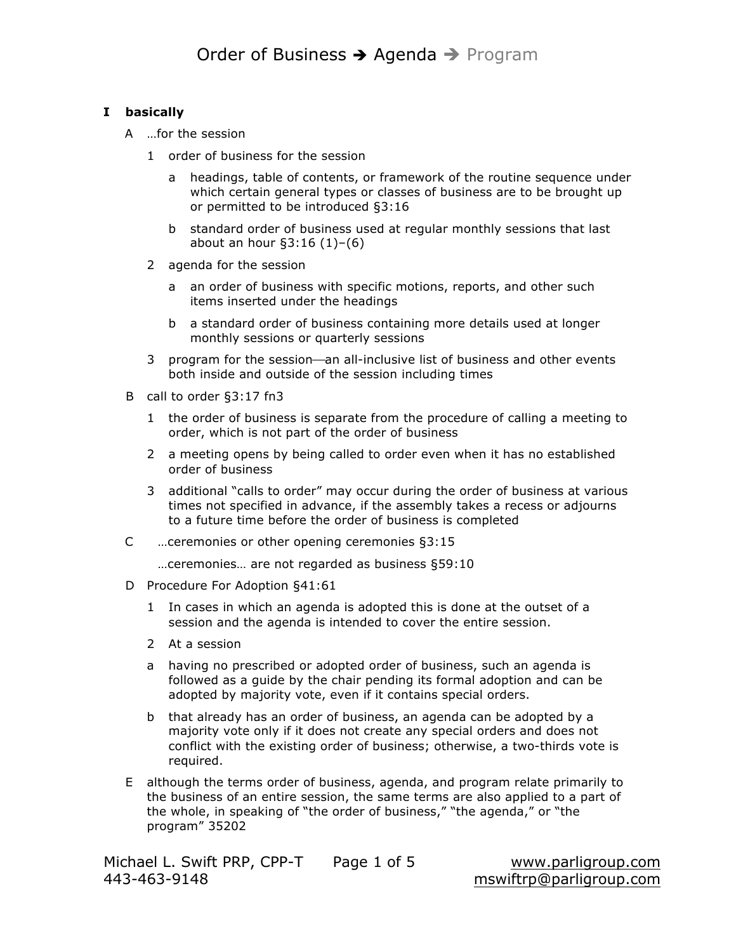### **I basically**

- A …for the session
	- 1 order of business for the session
		- a headings, table of contents, or framework of the routine sequence under which certain general types or classes of business are to be brought up or permitted to be introduced §3:16
		- b standard order of business used at regular monthly sessions that last about an hour §3:16 (1)–(6)
	- 2 agenda for the session
		- a an order of business with specific motions, reports, and other such items inserted under the headings
		- b a standard order of business containing more details used at longer monthly sessions or quarterly sessions
	- 3 program for the session—an all-inclusive list of business and other events both inside and outside of the session including times
- B call to order §3:17 fn3
	- 1 the order of business is separate from the procedure of calling a meeting to order, which is not part of the order of business
	- 2 a meeting opens by being called to order even when it has no established order of business
	- 3 additional "calls to order" may occur during the order of business at various times not specified in advance, if the assembly takes a recess or adjourns to a future time before the order of business is completed
- C …ceremonies or other opening ceremonies §3:15
	- …ceremonies… are not regarded as business §59:10
- D Procedure For Adoption §41:61
	- 1 In cases in which an agenda is adopted this is done at the outset of a session and the agenda is intended to cover the entire session.
	- 2 At a session
	- a having no prescribed or adopted order of business, such an agenda is followed as a guide by the chair pending its formal adoption and can be adopted by majority vote, even if it contains special orders.
	- b that already has an order of business, an agenda can be adopted by a majority vote only if it does not create any special orders and does not conflict with the existing order of business; otherwise, a two-thirds vote is required.
- E although the terms order of business, agenda, and program relate primarily to the business of an entire session, the same terms are also applied to a part of the whole, in speaking of "the order of business," "the agenda," or "the program" 35202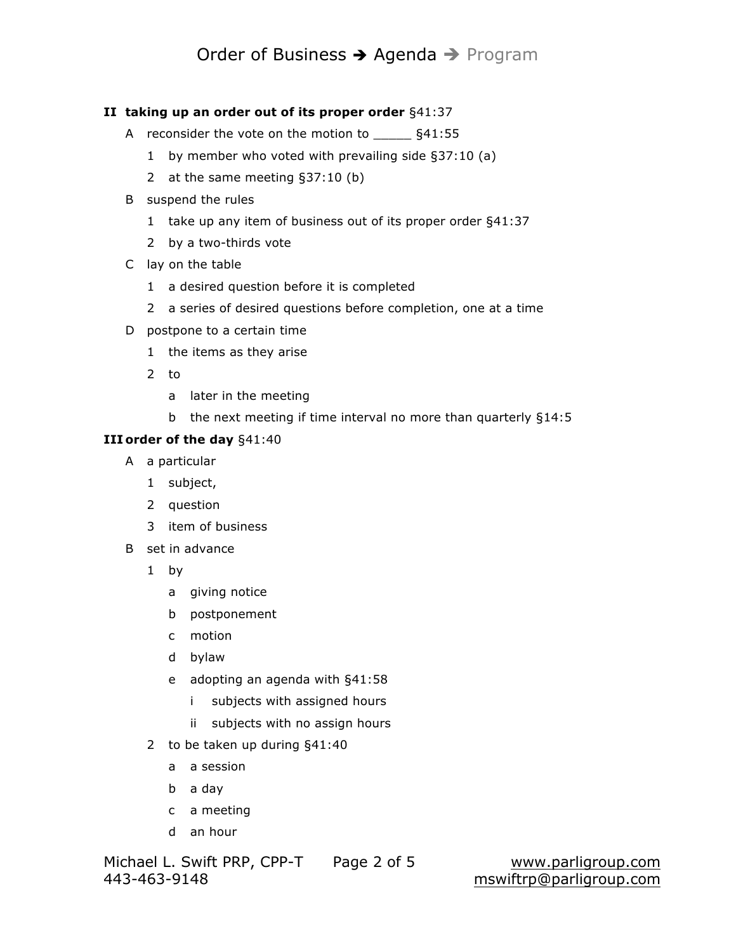## Order of Business → Agenda → Program

### **II taking up an order out of its proper order** §41:37

- A reconsider the vote on the motion to  $$41:55$ 
	- 1 by member who voted with prevailing side §37:10 (a)
	- 2 at the same meeting §37:10 (b)
- B suspend the rules
	- 1 take up any item of business out of its proper order §41:37
	- 2 by a two-thirds vote
- C lay on the table
	- 1 a desired question before it is completed
	- 2 a series of desired questions before completion, one at a time
- D postpone to a certain time
	- 1 the items as they arise
	- 2 to
		- a later in the meeting
		- b the next meeting if time interval no more than quarterly §14:5

### **III order of the day** §41:40

- A a particular
	- 1 subject,
	- 2 question
	- 3 item of business
- B set in advance
	- 1 by
		- a giving notice
		- b postponement
		- c motion
		- d bylaw
		- e adopting an agenda with §41:58
			- i subjects with assigned hours
			- ii subjects with no assign hours
	- 2 to be taken up during §41:40
		- a a session
		- b a day
		- c a meeting
		- d an hour

Michael L. Swift PRP, CPP-T Page 2 of 5 www.parligroup.com 443-463-9148 mswiftrp@parligroup.com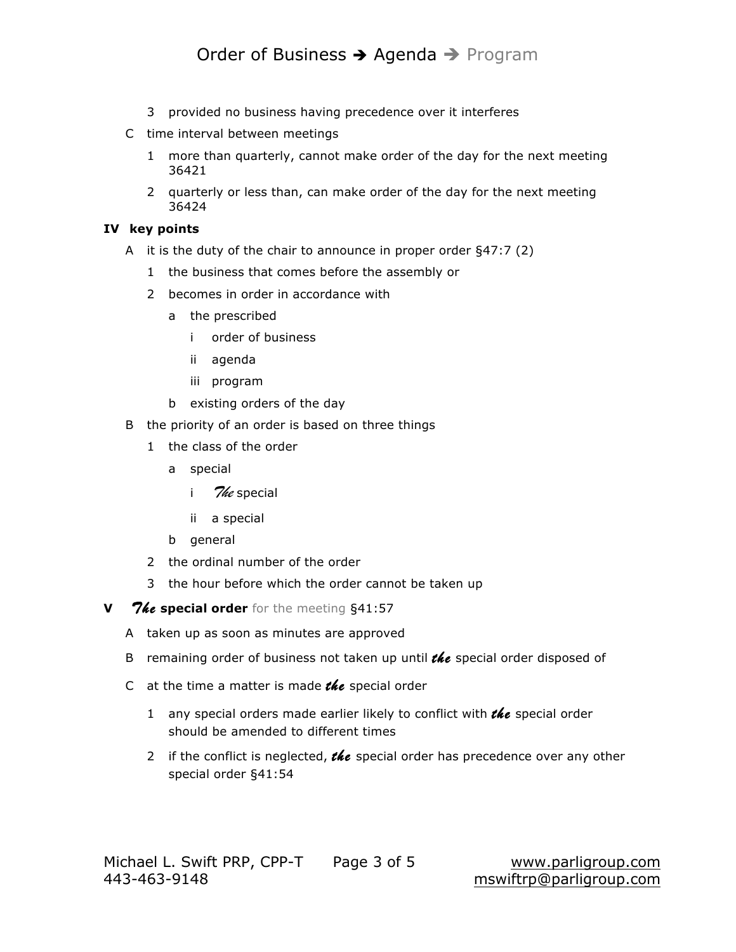# Order of Business → Agenda → Program

- 3 provided no business having precedence over it interferes
- C time interval between meetings
	- 1 more than quarterly, cannot make order of the day for the next meeting 36421
	- 2 quarterly or less than, can make order of the day for the next meeting 36424

### **IV key points**

- A it is the duty of the chair to announce in proper order §47:7 (2)
	- 1 the business that comes before the assembly or
	- 2 becomes in order in accordance with
		- a the prescribed
			- i order of business
			- ii agenda
			- iii program
		- b existing orders of the day
- B the priority of an order is based on three things
	- 1 the class of the order
		- a special
			- i *The* special
			- ii a special
		- b general
	- 2 the ordinal number of the order
	- 3 the hour before which the order cannot be taken up
- **V** 7*ke* special order for the meeting §41:57
	- A taken up as soon as minutes are approved
	- B remaining order of business not taken up until *the* special order disposed of
	- C at the time a matter is made *the* special order
		- 1 any special orders made earlier likely to conflict with *the* special order should be amended to different times
		- 2 if the conflict is neglected, **the** special order has precedence over any other special order §41:54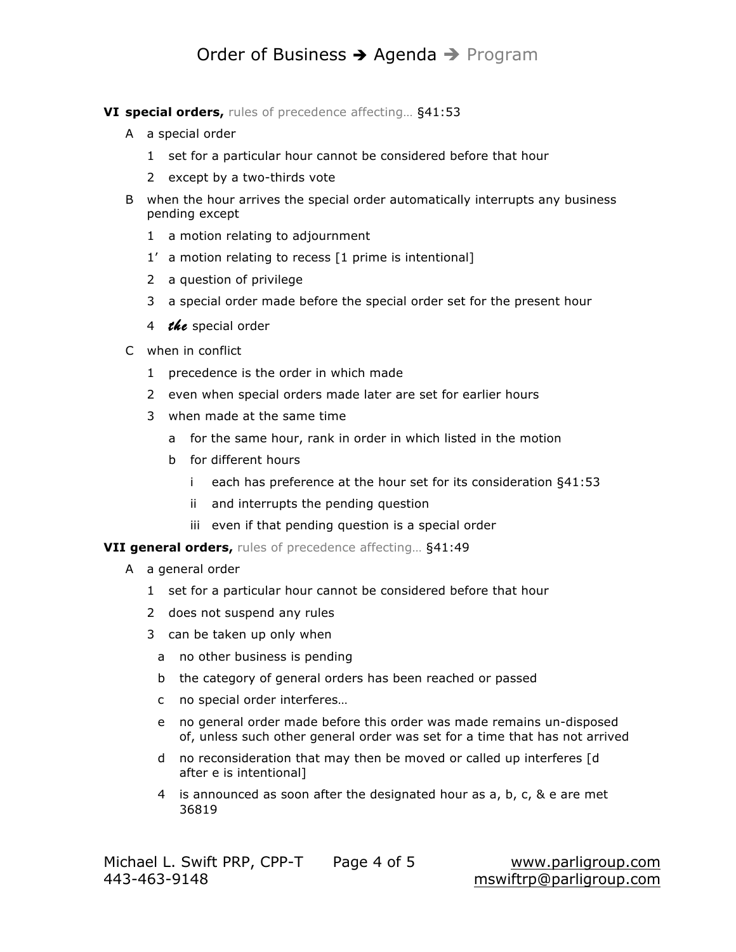## Order of Business → Agenda → Program

**VI special orders,** rules of precedence affecting… §41:53

- A a special order
	- 1 set for a particular hour cannot be considered before that hour
	- 2 except by a two-thirds vote
- B when the hour arrives the special order automatically interrupts any business pending except
	- 1 a motion relating to adjournment
	- 1' a motion relating to recess [1 prime is intentional]
	- 2 a question of privilege
	- 3 a special order made before the special order set for the present hour
	- 4 *the* special order
- C when in conflict
	- 1 precedence is the order in which made
	- 2 even when special orders made later are set for earlier hours
	- 3 when made at the same time
		- a for the same hour, rank in order in which listed in the motion
		- b for different hours
			- i each has preference at the hour set for its consideration §41:53
			- ii and interrupts the pending question
			- iii even if that pending question is a special order

**VII general orders,** rules of precedence affecting… §41:49

- A a general order
	- 1 set for a particular hour cannot be considered before that hour
	- 2 does not suspend any rules
	- 3 can be taken up only when
		- a no other business is pending
		- b the category of general orders has been reached or passed
		- c no special order interferes…
		- e no general order made before this order was made remains un-disposed of, unless such other general order was set for a time that has not arrived
		- d no reconsideration that may then be moved or called up interferes [d after e is intentional]
		- 4 is announced as soon after the designated hour as a, b, c, & e are met 36819